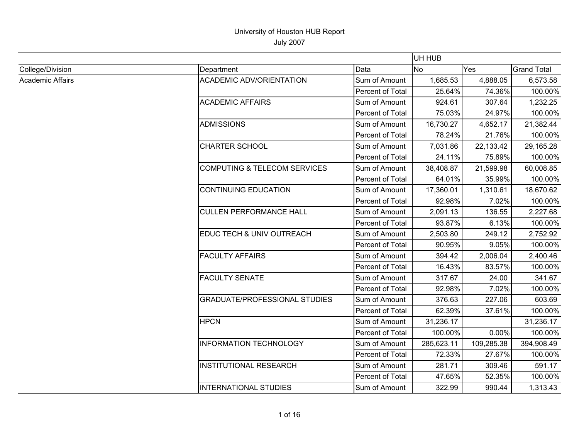|                         |                                         |                  | UH HUB     |            |                    |
|-------------------------|-----------------------------------------|------------------|------------|------------|--------------------|
| College/Division        | Department                              | Data             | <b>No</b>  | Yes        | <b>Grand Total</b> |
| <b>Academic Affairs</b> | <b>ACADEMIC ADV/ORIENTATION</b>         | Sum of Amount    | 1,685.53   | 4,888.05   | 6,573.58           |
|                         |                                         | Percent of Total | 25.64%     | 74.36%     | 100.00%            |
|                         | <b>ACADEMIC AFFAIRS</b>                 | Sum of Amount    | 924.61     | 307.64     | 1,232.25           |
|                         |                                         | Percent of Total | 75.03%     | 24.97%     | 100.00%            |
|                         | <b>ADMISSIONS</b>                       | Sum of Amount    | 16,730.27  | 4,652.17   | 21,382.44          |
|                         |                                         | Percent of Total | 78.24%     | 21.76%     | 100.00%            |
|                         | <b>CHARTER SCHOOL</b>                   | Sum of Amount    | 7,031.86   | 22,133.42  | 29,165.28          |
|                         |                                         | Percent of Total | 24.11%     | 75.89%     | 100.00%            |
|                         | <b>COMPUTING &amp; TELECOM SERVICES</b> | Sum of Amount    | 38,408.87  | 21,599.98  | 60,008.85          |
|                         |                                         | Percent of Total | 64.01%     | 35.99%     | 100.00%            |
|                         | <b>CONTINUING EDUCATION</b>             | Sum of Amount    | 17,360.01  | 1,310.61   | 18,670.62          |
|                         |                                         | Percent of Total | 92.98%     | 7.02%      | 100.00%            |
|                         | <b>CULLEN PERFORMANCE HALL</b>          | Sum of Amount    | 2,091.13   | 136.55     | 2,227.68           |
|                         |                                         | Percent of Total | 93.87%     | 6.13%      | 100.00%            |
|                         | EDUC TECH & UNIV OUTREACH               | Sum of Amount    | 2,503.80   | 249.12     | 2,752.92           |
|                         |                                         | Percent of Total | 90.95%     | 9.05%      | 100.00%            |
|                         | <b>FACULTY AFFAIRS</b>                  | Sum of Amount    | 394.42     | 2,006.04   | 2,400.46           |
|                         |                                         | Percent of Total | 16.43%     | 83.57%     | 100.00%            |
|                         | <b>FACULTY SENATE</b>                   | Sum of Amount    | 317.67     | 24.00      | 341.67             |
|                         |                                         | Percent of Total | 92.98%     | 7.02%      | 100.00%            |
|                         | <b>GRADUATE/PROFESSIONAL STUDIES</b>    | Sum of Amount    | 376.63     | 227.06     | 603.69             |
|                         |                                         | Percent of Total | 62.39%     | 37.61%     | 100.00%            |
|                         | <b>HPCN</b>                             | Sum of Amount    | 31,236.17  |            | 31,236.17          |
|                         |                                         | Percent of Total | 100.00%    | 0.00%      | 100.00%            |
|                         | <b>INFORMATION TECHNOLOGY</b>           | Sum of Amount    | 285,623.11 | 109,285.38 | 394,908.49         |
|                         |                                         | Percent of Total | 72.33%     | 27.67%     | 100.00%            |
|                         | <b>INSTITUTIONAL RESEARCH</b>           | Sum of Amount    | 281.71     | 309.46     | 591.17             |
|                         |                                         | Percent of Total | 47.65%     | 52.35%     | 100.00%            |
|                         | <b>INTERNATIONAL STUDIES</b>            | Sum of Amount    | 322.99     | 990.44     | 1,313.43           |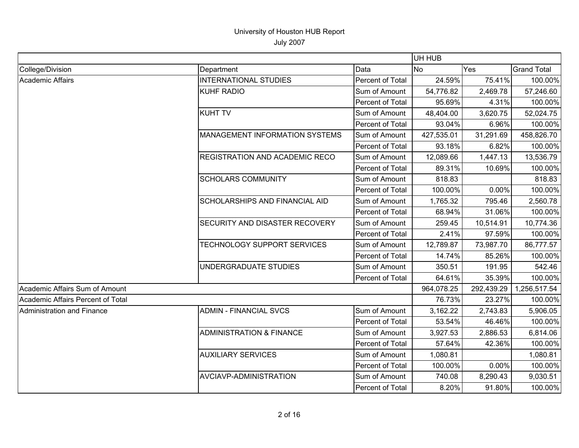|                                   |                                       |                         | UH HUB     |            |                    |
|-----------------------------------|---------------------------------------|-------------------------|------------|------------|--------------------|
| College/Division                  | Department                            | Data                    | No         | Yes        | <b>Grand Total</b> |
| <b>Academic Affairs</b>           | <b>INTERNATIONAL STUDIES</b>          | Percent of Total        | 24.59%     | 75.41%     | 100.00%            |
|                                   | <b>KUHF RADIO</b>                     | Sum of Amount           | 54,776.82  | 2,469.78   | 57,246.60          |
|                                   |                                       | Percent of Total        | 95.69%     | 4.31%      | 100.00%            |
|                                   | <b>KUHT TV</b>                        | Sum of Amount           | 48,404.00  | 3,620.75   | 52,024.75          |
|                                   |                                       | Percent of Total        | 93.04%     | 6.96%      | 100.00%            |
|                                   | <b>MANAGEMENT INFORMATION SYSTEMS</b> | Sum of Amount           | 427,535.01 | 31,291.69  | 458,826.70         |
|                                   |                                       | <b>Percent of Total</b> | 93.18%     | 6.82%      | 100.00%            |
|                                   | <b>REGISTRATION AND ACADEMIC RECO</b> | Sum of Amount           | 12,089.66  | 1,447.13   | 13,536.79          |
|                                   |                                       | Percent of Total        | 89.31%     | 10.69%     | 100.00%            |
|                                   | <b>SCHOLARS COMMUNITY</b>             | Sum of Amount           | 818.83     |            | 818.83             |
|                                   |                                       | Percent of Total        | 100.00%    | 0.00%      | 100.00%            |
|                                   | <b>SCHOLARSHIPS AND FINANCIAL AID</b> | Sum of Amount           | 1,765.32   | 795.46     | 2,560.78           |
|                                   |                                       | Percent of Total        | 68.94%     | 31.06%     | 100.00%            |
|                                   | SECURITY AND DISASTER RECOVERY        | Sum of Amount           | 259.45     | 10,514.91  | 10,774.36          |
|                                   |                                       | Percent of Total        | 2.41%      | 97.59%     | 100.00%            |
|                                   | TECHNOLOGY SUPPORT SERVICES           | Sum of Amount           | 12,789.87  | 73,987.70  | 86,777.57          |
|                                   |                                       | Percent of Total        | 14.74%     | 85.26%     | 100.00%            |
|                                   | UNDERGRADUATE STUDIES                 | Sum of Amount           | 350.51     | 191.95     | 542.46             |
|                                   |                                       | Percent of Total        | 64.61%     | 35.39%     | 100.00%            |
| Academic Affairs Sum of Amount    |                                       |                         | 964,078.25 | 292,439.29 | 1,256,517.54       |
| Academic Affairs Percent of Total |                                       |                         | 76.73%     | 23.27%     | 100.00%            |
| Administration and Finance        | <b>ADMIN - FINANCIAL SVCS</b>         | Sum of Amount           | 3,162.22   | 2,743.83   | 5,906.05           |
|                                   |                                       | Percent of Total        | 53.54%     | 46.46%     | 100.00%            |
|                                   | <b>ADMINISTRATION &amp; FINANCE</b>   | Sum of Amount           | 3,927.53   | 2,886.53   | 6,814.06           |
|                                   |                                       | Percent of Total        | 57.64%     | 42.36%     | 100.00%            |
|                                   | <b>AUXILIARY SERVICES</b>             | Sum of Amount           | 1,080.81   |            | 1,080.81           |
|                                   |                                       | Percent of Total        | 100.00%    | 0.00%      | 100.00%            |
|                                   | <b>AVCIAVP-ADMINISTRATION</b>         | Sum of Amount           | 740.08     | 8,290.43   | 9,030.51           |
|                                   |                                       | Percent of Total        | 8.20%      | 91.80%     | 100.00%            |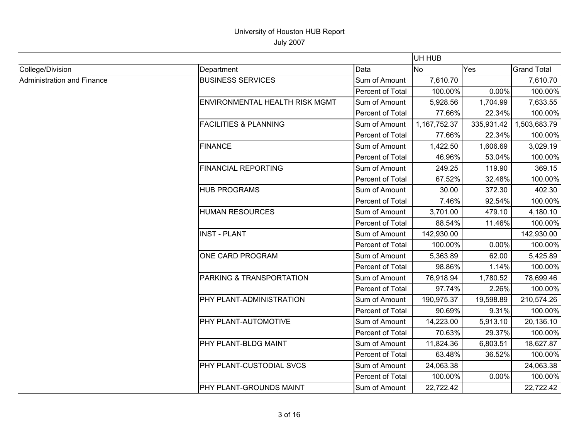|                            |                                  |                  | UH HUB       |            |                    |
|----------------------------|----------------------------------|------------------|--------------|------------|--------------------|
| College/Division           | Department                       | Data             | <b>No</b>    | Yes        | <b>Grand Total</b> |
| Administration and Finance | <b>BUSINESS SERVICES</b>         | Sum of Amount    | 7,610.70     |            | 7,610.70           |
|                            |                                  | Percent of Total | 100.00%      | 0.00%      | 100.00%            |
|                            | ENVIRONMENTAL HEALTH RISK MGMT   | Sum of Amount    | 5,928.56     | 1,704.99   | 7,633.55           |
|                            |                                  | Percent of Total | 77.66%       | 22.34%     | 100.00%            |
|                            | <b>FACILITIES &amp; PLANNING</b> | Sum of Amount    | 1,167,752.37 | 335,931.42 | 1,503,683.79       |
|                            |                                  | Percent of Total | 77.66%       | 22.34%     | 100.00%            |
|                            | <b>FINANCE</b>                   | Sum of Amount    | 1,422.50     | 1,606.69   | 3,029.19           |
|                            |                                  | Percent of Total | 46.96%       | 53.04%     | 100.00%            |
|                            | <b>FINANCIAL REPORTING</b>       | Sum of Amount    | 249.25       | 119.90     | 369.15             |
|                            |                                  | Percent of Total | 67.52%       | 32.48%     | 100.00%            |
|                            | <b>HUB PROGRAMS</b>              | Sum of Amount    | 30.00        | 372.30     | 402.30             |
|                            |                                  | Percent of Total | 7.46%        | 92.54%     | 100.00%            |
|                            | <b>HUMAN RESOURCES</b>           | Sum of Amount    | 3,701.00     | 479.10     | 4,180.10           |
|                            |                                  | Percent of Total | 88.54%       | 11.46%     | 100.00%            |
|                            | <b>INST - PLANT</b>              | Sum of Amount    | 142,930.00   |            | 142,930.00         |
|                            |                                  | Percent of Total | 100.00%      | 0.00%      | 100.00%            |
|                            | ONE CARD PROGRAM                 | Sum of Amount    | 5,363.89     | 62.00      | 5,425.89           |
|                            |                                  | Percent of Total | 98.86%       | 1.14%      | 100.00%            |
|                            | PARKING & TRANSPORTATION         | Sum of Amount    | 76,918.94    | 1,780.52   | 78,699.46          |
|                            |                                  | Percent of Total | 97.74%       | 2.26%      | 100.00%            |
|                            | PHY PLANT-ADMINISTRATION         | Sum of Amount    | 190,975.37   | 19,598.89  | 210,574.26         |
|                            |                                  | Percent of Total | 90.69%       | 9.31%      | 100.00%            |
|                            | PHY PLANT-AUTOMOTIVE             | Sum of Amount    | 14,223.00    | 5,913.10   | 20,136.10          |
|                            |                                  | Percent of Total | 70.63%       | 29.37%     | 100.00%            |
|                            | PHY PLANT-BLDG MAINT             | Sum of Amount    | 11,824.36    | 6,803.51   | 18,627.87          |
|                            |                                  | Percent of Total | 63.48%       | 36.52%     | 100.00%            |
|                            | PHY PLANT-CUSTODIAL SVCS         | Sum of Amount    | 24,063.38    |            | 24,063.38          |
|                            |                                  | Percent of Total | 100.00%      | 0.00%      | 100.00%            |
|                            | PHY PLANT-GROUNDS MAINT          | Sum of Amount    | 22,722.42    |            | 22,722.42          |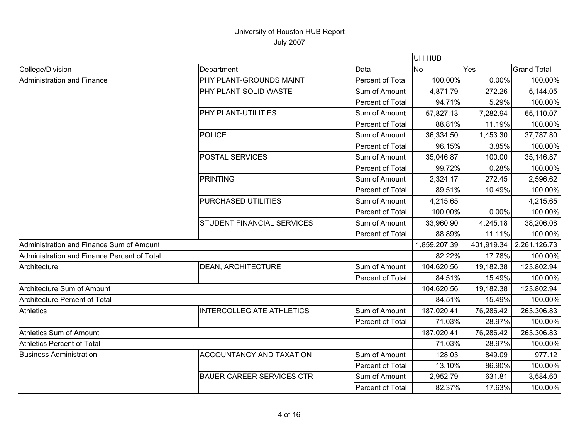|                                             |                                  |                  | UH HUB       |            |                    |
|---------------------------------------------|----------------------------------|------------------|--------------|------------|--------------------|
| College/Division                            | Department                       | Data             | <b>No</b>    | Yes        | <b>Grand Total</b> |
| Administration and Finance                  | PHY PLANT-GROUNDS MAINT          | Percent of Total | 100.00%      | 0.00%      | 100.00%            |
|                                             | PHY PLANT-SOLID WASTE            | Sum of Amount    | 4,871.79     | 272.26     | 5,144.05           |
|                                             |                                  | Percent of Total | 94.71%       | 5.29%      | 100.00%            |
|                                             | PHY PLANT-UTILITIES              | Sum of Amount    | 57,827.13    | 7,282.94   | 65,110.07          |
|                                             |                                  | Percent of Total | 88.81%       | 11.19%     | 100.00%            |
|                                             | <b>POLICE</b>                    | Sum of Amount    | 36,334.50    | 1,453.30   | 37,787.80          |
|                                             |                                  | Percent of Total | 96.15%       | 3.85%      | 100.00%            |
|                                             | <b>POSTAL SERVICES</b>           | Sum of Amount    | 35,046.87    | 100.00     | 35,146.87          |
|                                             |                                  | Percent of Total | 99.72%       | 0.28%      | 100.00%            |
|                                             | <b>PRINTING</b>                  | Sum of Amount    | 2,324.17     | 272.45     | 2,596.62           |
|                                             |                                  | Percent of Total | 89.51%       | 10.49%     | 100.00%            |
|                                             | PURCHASED UTILITIES              | Sum of Amount    | 4,215.65     |            | 4,215.65           |
|                                             |                                  | Percent of Total | 100.00%      | 0.00%      | 100.00%            |
|                                             | STUDENT FINANCIAL SERVICES       | Sum of Amount    | 33,960.90    | 4,245.18   | 38,206.08          |
|                                             |                                  | Percent of Total | 88.89%       | 11.11%     | 100.00%            |
| Administration and Finance Sum of Amount    |                                  |                  | 1,859,207.39 | 401,919.34 | 2,261,126.73       |
| Administration and Finance Percent of Total |                                  |                  | 82.22%       | 17.78%     | 100.00%            |
| Architecture                                | DEAN, ARCHITECTURE               | Sum of Amount    | 104,620.56   | 19,182.38  | 123,802.94         |
|                                             |                                  | Percent of Total | 84.51%       | 15.49%     | 100.00%            |
| Architecture Sum of Amount                  |                                  |                  | 104,620.56   | 19,182.38  | 123,802.94         |
| <b>Architecture Percent of Total</b>        |                                  |                  | 84.51%       | 15.49%     | 100.00%            |
| <b>Athletics</b>                            | <b>INTERCOLLEGIATE ATHLETICS</b> | Sum of Amount    | 187,020.41   | 76,286.42  | 263,306.83         |
|                                             |                                  | Percent of Total | 71.03%       | 28.97%     | 100.00%            |
| Athletics Sum of Amount                     |                                  |                  | 187,020.41   | 76,286.42  | 263,306.83         |
| Athletics Percent of Total                  |                                  |                  | 71.03%       | 28.97%     | 100.00%            |
| <b>Business Administration</b>              | <b>ACCOUNTANCY AND TAXATION</b>  | Sum of Amount    | 128.03       | 849.09     | 977.12             |
|                                             |                                  | Percent of Total | 13.10%       | 86.90%     | 100.00%            |
|                                             | <b>BAUER CAREER SERVICES CTR</b> | Sum of Amount    | 2,952.79     | 631.81     | 3,584.60           |
|                                             |                                  | Percent of Total | 82.37%       | 17.63%     | 100.00%            |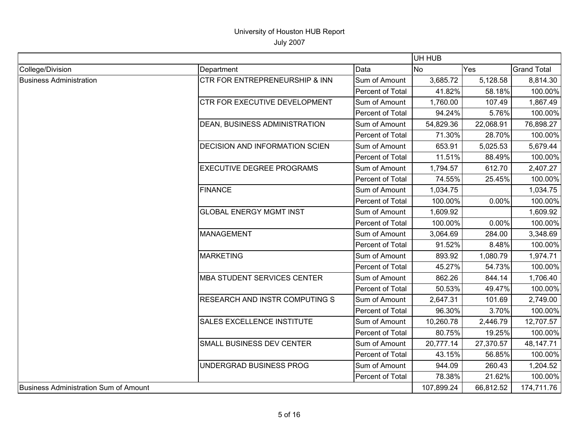|                                       |                                       |                  | UH HUB     |           |                    |
|---------------------------------------|---------------------------------------|------------------|------------|-----------|--------------------|
| College/Division                      | Department                            | Data             | No         | Yes       | <b>Grand Total</b> |
| <b>Business Administration</b>        | CTR FOR ENTREPRENEURSHIP & INN        | Sum of Amount    | 3,685.72   | 5,128.58  | 8,814.30           |
|                                       |                                       | Percent of Total | 41.82%     | 58.18%    | 100.00%            |
|                                       | <b>CTR FOR EXECUTIVE DEVELOPMENT</b>  | Sum of Amount    | 1,760.00   | 107.49    | 1,867.49           |
|                                       |                                       | Percent of Total | 94.24%     | 5.76%     | 100.00%            |
|                                       | DEAN, BUSINESS ADMINISTRATION         | Sum of Amount    | 54,829.36  | 22,068.91 | 76,898.27          |
|                                       |                                       | Percent of Total | 71.30%     | 28.70%    | 100.00%            |
|                                       | <b>DECISION AND INFORMATION SCIEN</b> | Sum of Amount    | 653.91     | 5,025.53  | 5,679.44           |
|                                       |                                       | Percent of Total | 11.51%     | 88.49%    | 100.00%            |
|                                       | <b>EXECUTIVE DEGREE PROGRAMS</b>      | Sum of Amount    | 1,794.57   | 612.70    | 2,407.27           |
|                                       |                                       | Percent of Total | 74.55%     | 25.45%    | 100.00%            |
|                                       | <b>FINANCE</b>                        | Sum of Amount    | 1,034.75   |           | 1,034.75           |
|                                       |                                       | Percent of Total | 100.00%    | 0.00%     | 100.00%            |
|                                       | <b>GLOBAL ENERGY MGMT INST</b>        | Sum of Amount    | 1,609.92   |           | 1,609.92           |
|                                       |                                       | Percent of Total | 100.00%    | 0.00%     | 100.00%            |
|                                       | <b>MANAGEMENT</b>                     | Sum of Amount    | 3,064.69   | 284.00    | 3,348.69           |
|                                       |                                       | Percent of Total | 91.52%     | 8.48%     | 100.00%            |
|                                       | <b>MARKETING</b>                      | Sum of Amount    | 893.92     | 1,080.79  | 1,974.71           |
|                                       |                                       | Percent of Total | 45.27%     | 54.73%    | 100.00%            |
|                                       | <b>MBA STUDENT SERVICES CENTER</b>    | Sum of Amount    | 862.26     | 844.14    | 1,706.40           |
|                                       |                                       | Percent of Total | 50.53%     | 49.47%    | 100.00%            |
|                                       | <b>RESEARCH AND INSTR COMPUTING S</b> | Sum of Amount    | 2,647.31   | 101.69    | 2,749.00           |
|                                       |                                       | Percent of Total | 96.30%     | 3.70%     | 100.00%            |
|                                       | <b>SALES EXCELLENCE INSTITUTE</b>     | Sum of Amount    | 10,260.78  | 2,446.79  | 12,707.57          |
|                                       |                                       | Percent of Total | 80.75%     | 19.25%    | 100.00%            |
|                                       | SMALL BUSINESS DEV CENTER             | Sum of Amount    | 20,777.14  | 27,370.57 | 48,147.71          |
|                                       |                                       | Percent of Total | 43.15%     | 56.85%    | 100.00%            |
|                                       | UNDERGRAD BUSINESS PROG               | Sum of Amount    | 944.09     | 260.43    | 1,204.52           |
|                                       |                                       | Percent of Total | 78.38%     | 21.62%    | 100.00%            |
| Business Administration Sum of Amount |                                       |                  | 107,899.24 | 66,812.52 | 174,711.76         |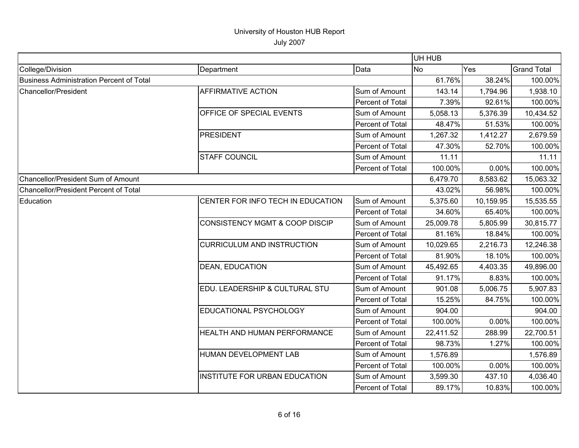|                                          |                                           |                  | UH HUB    |           |                    |
|------------------------------------------|-------------------------------------------|------------------|-----------|-----------|--------------------|
| College/Division                         | Department                                | Data             | No        | Yes       | <b>Grand Total</b> |
| Business Administration Percent of Total |                                           |                  | 61.76%    | 38.24%    | 100.00%            |
| Chancellor/President                     | <b>AFFIRMATIVE ACTION</b>                 | Sum of Amount    | 143.14    | 1,794.96  | 1,938.10           |
|                                          |                                           | Percent of Total | 7.39%     | 92.61%    | 100.00%            |
|                                          | OFFICE OF SPECIAL EVENTS                  | Sum of Amount    | 5,058.13  | 5,376.39  | 10,434.52          |
|                                          |                                           | Percent of Total | 48.47%    | 51.53%    | 100.00%            |
|                                          | <b>PRESIDENT</b>                          | Sum of Amount    | 1,267.32  | 1,412.27  | 2,679.59           |
|                                          |                                           | Percent of Total | 47.30%    | 52.70%    | 100.00%            |
|                                          | <b>STAFF COUNCIL</b>                      | Sum of Amount    | 11.11     |           | 11.11              |
|                                          |                                           | Percent of Total | 100.00%   | 0.00%     | 100.00%            |
| Chancellor/President Sum of Amount       |                                           | 6,479.70         | 8,583.62  | 15,063.32 |                    |
| Chancellor/President Percent of Total    |                                           |                  | 43.02%    | 56.98%    | 100.00%            |
| Education                                | CENTER FOR INFO TECH IN EDUCATION         | Sum of Amount    | 5,375.60  | 10,159.95 | 15,535.55          |
|                                          |                                           | Percent of Total | 34.60%    | 65.40%    | 100.00%            |
|                                          | <b>CONSISTENCY MGMT &amp; COOP DISCIP</b> | Sum of Amount    | 25,009.78 | 5,805.99  | 30,815.77          |
|                                          |                                           | Percent of Total | 81.16%    | 18.84%    | 100.00%            |
|                                          | <b>CURRICULUM AND INSTRUCTION</b>         | Sum of Amount    | 10,029.65 | 2,216.73  | 12,246.38          |
|                                          |                                           | Percent of Total | 81.90%    | 18.10%    | 100.00%            |
|                                          | <b>DEAN, EDUCATION</b>                    | Sum of Amount    | 45,492.65 | 4,403.35  | 49,896.00          |
|                                          |                                           | Percent of Total | 91.17%    | 8.83%     | 100.00%            |
|                                          | EDU. LEADERSHIP & CULTURAL STU            | Sum of Amount    | 901.08    | 5,006.75  | 5,907.83           |
|                                          |                                           | Percent of Total | 15.25%    | 84.75%    | 100.00%            |
|                                          | EDUCATIONAL PSYCHOLOGY                    | Sum of Amount    | 904.00    |           | 904.00             |
|                                          |                                           | Percent of Total | 100.00%   | 0.00%     | 100.00%            |
|                                          | HEALTH AND HUMAN PERFORMANCE              | Sum of Amount    | 22,411.52 | 288.99    | 22,700.51          |
|                                          |                                           | Percent of Total | 98.73%    | 1.27%     | 100.00%            |
|                                          | HUMAN DEVELOPMENT LAB                     | Sum of Amount    | 1,576.89  |           | 1,576.89           |
|                                          |                                           | Percent of Total | 100.00%   | 0.00%     | 100.00%            |
|                                          | <b>INSTITUTE FOR URBAN EDUCATION</b>      | Sum of Amount    | 3,599.30  | 437.10    | 4,036.40           |
|                                          |                                           | Percent of Total | 89.17%    | 10.83%    | 100.00%            |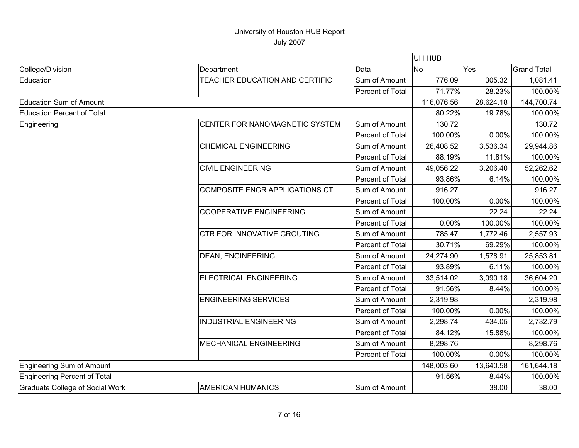|                                        |                                    |                  | UH HUB     |           |                    |
|----------------------------------------|------------------------------------|------------------|------------|-----------|--------------------|
| College/Division                       | Department                         | Data             | <b>No</b>  | Yes       | <b>Grand Total</b> |
| Education                              | TEACHER EDUCATION AND CERTIFIC     | Sum of Amount    | 776.09     | 305.32    | 1,081.41           |
|                                        |                                    | Percent of Total | 71.77%     | 28.23%    | 100.00%            |
| <b>Education Sum of Amount</b>         |                                    |                  | 116,076.56 | 28,624.18 | 144,700.74         |
| <b>Education Percent of Total</b>      |                                    |                  | 80.22%     | 19.78%    | 100.00%            |
| Engineering                            | CENTER FOR NANOMAGNETIC SYSTEM     | Sum of Amount    | 130.72     |           | 130.72             |
|                                        |                                    | Percent of Total | 100.00%    | 0.00%     | 100.00%            |
|                                        | <b>CHEMICAL ENGINEERING</b>        | Sum of Amount    | 26,408.52  | 3,536.34  | 29,944.86          |
|                                        |                                    | Percent of Total | 88.19%     | 11.81%    | 100.00%            |
|                                        | <b>CIVIL ENGINEERING</b>           | Sum of Amount    | 49,056.22  | 3,206.40  | 52,262.62          |
|                                        |                                    | Percent of Total | 93.86%     | 6.14%     | 100.00%            |
|                                        | COMPOSITE ENGR APPLICATIONS CT     | Sum of Amount    | 916.27     |           | 916.27             |
|                                        |                                    | Percent of Total | 100.00%    | 0.00%     | 100.00%            |
|                                        | <b>COOPERATIVE ENGINEERING</b>     | Sum of Amount    |            | 22.24     | 22.24              |
|                                        |                                    | Percent of Total | 0.00%      | 100.00%   | 100.00%            |
|                                        | <b>CTR FOR INNOVATIVE GROUTING</b> | Sum of Amount    | 785.47     | 1,772.46  | 2,557.93           |
|                                        |                                    | Percent of Total | 30.71%     | 69.29%    | 100.00%            |
|                                        | <b>DEAN, ENGINEERING</b>           | Sum of Amount    | 24,274.90  | 1,578.91  | 25,853.81          |
|                                        |                                    | Percent of Total | 93.89%     | 6.11%     | 100.00%            |
|                                        | ELECTRICAL ENGINEERING             | Sum of Amount    | 33,514.02  | 3,090.18  | 36,604.20          |
|                                        |                                    | Percent of Total | 91.56%     | 8.44%     | 100.00%            |
|                                        | <b>ENGINEERING SERVICES</b>        | Sum of Amount    | 2,319.98   |           | 2,319.98           |
|                                        |                                    | Percent of Total | 100.00%    | 0.00%     | 100.00%            |
|                                        | <b>INDUSTRIAL ENGINEERING</b>      | Sum of Amount    | 2,298.74   | 434.05    | 2,732.79           |
|                                        |                                    | Percent of Total | 84.12%     | 15.88%    | 100.00%            |
|                                        | <b>MECHANICAL ENGINEERING</b>      | Sum of Amount    | 8,298.76   |           | 8,298.76           |
|                                        |                                    | Percent of Total | 100.00%    | 0.00%     | 100.00%            |
| Engineering Sum of Amount              |                                    |                  | 148,003.60 | 13,640.58 | 161,644.18         |
| Engineering Percent of Total           |                                    |                  | 91.56%     | 8.44%     | 100.00%            |
| <b>Graduate College of Social Work</b> | <b>AMERICAN HUMANICS</b>           | Sum of Amount    |            | 38.00     | 38.00              |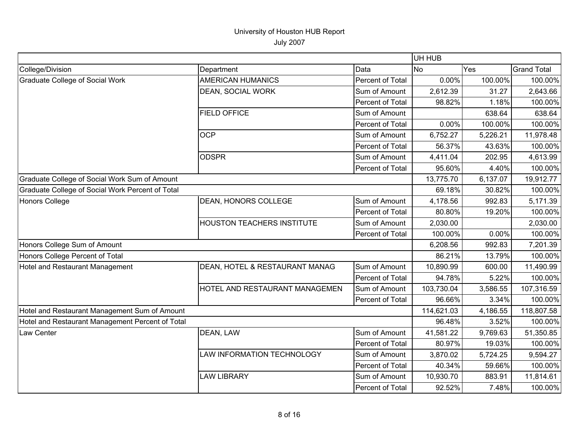|  | <b>July 2007</b> |
|--|------------------|
|--|------------------|

|                                                  |                                   |                  | UH HUB     |          |                    |
|--------------------------------------------------|-----------------------------------|------------------|------------|----------|--------------------|
| College/Division                                 | Department                        | Data             | <b>No</b>  | Yes      | <b>Grand Total</b> |
| <b>Graduate College of Social Work</b>           | <b>AMERICAN HUMANICS</b>          | Percent of Total | 0.00%      | 100.00%  | 100.00%            |
|                                                  | <b>DEAN, SOCIAL WORK</b>          | Sum of Amount    | 2,612.39   | 31.27    | 2,643.66           |
|                                                  |                                   | Percent of Total | 98.82%     | 1.18%    | 100.00%            |
|                                                  | <b>FIELD OFFICE</b>               | Sum of Amount    |            | 638.64   | 638.64             |
|                                                  |                                   | Percent of Total | 0.00%      | 100.00%  | 100.00%            |
|                                                  | <b>OCP</b>                        | Sum of Amount    | 6,752.27   | 5,226.21 | 11,978.48          |
|                                                  |                                   | Percent of Total | 56.37%     | 43.63%   | 100.00%            |
|                                                  | <b>ODSPR</b>                      | Sum of Amount    | 4,411.04   | 202.95   | 4,613.99           |
|                                                  |                                   | Percent of Total | 95.60%     | 4.40%    | 100.00%            |
| Graduate College of Social Work Sum of Amount    |                                   |                  | 13,775.70  | 6,137.07 | 19,912.77          |
| Graduate College of Social Work Percent of Total |                                   |                  | 69.18%     | 30.82%   | 100.00%            |
| Honors College                                   | <b>DEAN, HONORS COLLEGE</b>       | Sum of Amount    | 4,178.56   | 992.83   | 5,171.39           |
|                                                  |                                   | Percent of Total | 80.80%     | 19.20%   | 100.00%            |
|                                                  | <b>HOUSTON TEACHERS INSTITUTE</b> | Sum of Amount    | 2,030.00   |          | 2,030.00           |
|                                                  |                                   | Percent of Total | 100.00%    | 0.00%    | 100.00%            |
| Honors College Sum of Amount                     |                                   |                  | 6,208.56   | 992.83   | 7,201.39           |
| Honors College Percent of Total                  |                                   |                  | 86.21%     | 13.79%   | 100.00%            |
| Hotel and Restaurant Management                  | DEAN, HOTEL & RESTAURANT MANAG    | Sum of Amount    | 10,890.99  | 600.00   | 11,490.99          |
|                                                  |                                   | Percent of Total | 94.78%     | 5.22%    | 100.00%            |
|                                                  | HOTEL AND RESTAURANT MANAGEMEN    | Sum of Amount    | 103,730.04 | 3,586.55 | 107,316.59         |
|                                                  |                                   | Percent of Total | 96.66%     | 3.34%    | 100.00%            |
| Hotel and Restaurant Management Sum of Amount    |                                   |                  | 114,621.03 | 4,186.55 | 118,807.58         |
| Hotel and Restaurant Management Percent of Total |                                   |                  | 96.48%     | 3.52%    | 100.00%            |
| Law Center                                       | DEAN, LAW                         | Sum of Amount    | 41,581.22  | 9,769.63 | 51,350.85          |
|                                                  |                                   | Percent of Total | 80.97%     | 19.03%   | 100.00%            |
|                                                  | LAW INFORMATION TECHNOLOGY        | Sum of Amount    | 3,870.02   | 5,724.25 | 9,594.27           |
|                                                  |                                   | Percent of Total | 40.34%     | 59.66%   | 100.00%            |
|                                                  | <b>LAW LIBRARY</b>                | Sum of Amount    | 10,930.70  | 883.91   | 11,814.61          |
|                                                  |                                   | Percent of Total | 92.52%     | 7.48%    | 100.00%            |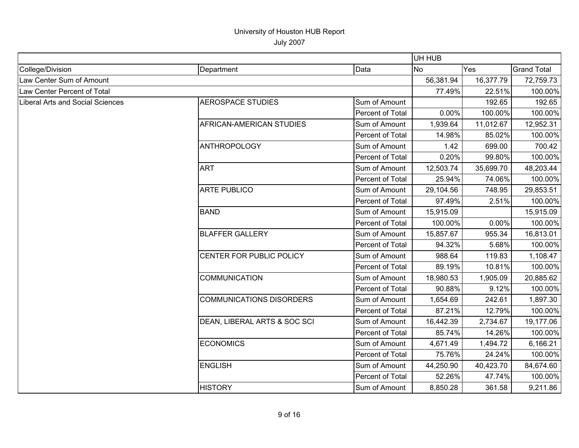|                                  |                                 |                  | UH HUB    |           |                    |
|----------------------------------|---------------------------------|------------------|-----------|-----------|--------------------|
| College/Division                 | Department                      | Data             | <b>No</b> | Yes       | <b>Grand Total</b> |
| Law Center Sum of Amount         |                                 |                  | 56,381.94 | 16,377.79 | 72,759.73          |
| Law Center Percent of Total      |                                 |                  | 77.49%    | 22.51%    | 100.00%            |
| Liberal Arts and Social Sciences | <b>AEROSPACE STUDIES</b>        | Sum of Amount    |           | 192.65    | 192.65             |
|                                  |                                 | Percent of Total | 0.00%     | 100.00%   | 100.00%            |
|                                  | AFRICAN-AMERICAN STUDIES        | Sum of Amount    | 1,939.64  | 11,012.67 | 12,952.31          |
|                                  |                                 | Percent of Total | 14.98%    | 85.02%    | 100.00%            |
|                                  | <b>ANTHROPOLOGY</b>             | Sum of Amount    | 1.42      | 699.00    | 700.42             |
|                                  |                                 | Percent of Total | 0.20%     | 99.80%    | 100.00%            |
|                                  | <b>ART</b>                      | Sum of Amount    | 12,503.74 | 35,699.70 | 48,203.44          |
|                                  |                                 | Percent of Total | 25.94%    | 74.06%    | 100.00%            |
|                                  | <b>ARTE PUBLICO</b>             | Sum of Amount    | 29,104.56 | 748.95    | 29,853.51          |
|                                  |                                 | Percent of Total | 97.49%    | 2.51%     | 100.00%            |
|                                  | <b>BAND</b>                     | Sum of Amount    | 15,915.09 |           | 15,915.09          |
|                                  |                                 | Percent of Total | 100.00%   | 0.00%     | 100.00%            |
|                                  | <b>BLAFFER GALLERY</b>          | Sum of Amount    | 15,857.67 | 955.34    | 16,813.01          |
|                                  |                                 | Percent of Total | 94.32%    | 5.68%     | 100.00%            |
|                                  | CENTER FOR PUBLIC POLICY        | Sum of Amount    | 988.64    | 119.83    | 1,108.47           |
|                                  |                                 | Percent of Total | 89.19%    | 10.81%    | 100.00%            |
|                                  | <b>COMMUNICATION</b>            | Sum of Amount    | 18,980.53 | 1,905.09  | 20,885.62          |
|                                  |                                 | Percent of Total | 90.88%    | 9.12%     | 100.00%            |
|                                  | <b>COMMUNICATIONS DISORDERS</b> | Sum of Amount    | 1,654.69  | 242.61    | 1,897.30           |
|                                  |                                 | Percent of Total | 87.21%    | 12.79%    | 100.00%            |
|                                  | DEAN, LIBERAL ARTS & SOC SCI    | Sum of Amount    | 16,442.39 | 2,734.67  | 19,177.06          |
|                                  |                                 | Percent of Total | 85.74%    | 14.26%    | 100.00%            |
|                                  | <b>ECONOMICS</b>                | Sum of Amount    | 4,671.49  | 1,494.72  | 6,166.21           |
|                                  |                                 | Percent of Total | 75.76%    | 24.24%    | 100.00%            |
|                                  | <b>ENGLISH</b>                  | Sum of Amount    | 44,250.90 | 40,423.70 | 84,674.60          |
|                                  |                                 | Percent of Total | 52.26%    | 47.74%    | 100.00%            |
|                                  | <b>HISTORY</b>                  | Sum of Amount    | 8,850.28  | 361.58    | 9,211.86           |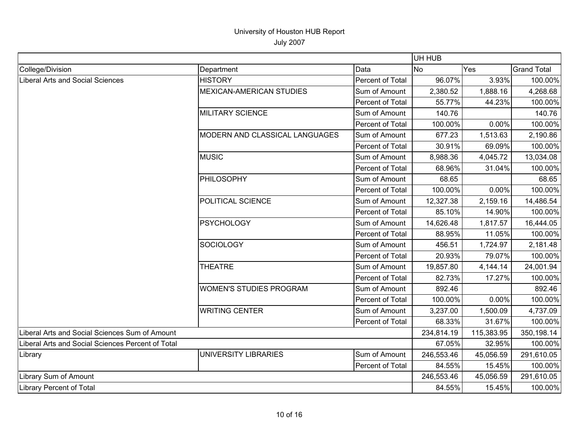|                                                   |                                 |                  | UH HUB     |            |                    |
|---------------------------------------------------|---------------------------------|------------------|------------|------------|--------------------|
| College/Division                                  | Department                      | Data             | <b>No</b>  | Yes        | <b>Grand Total</b> |
| Liberal Arts and Social Sciences                  | <b>HISTORY</b>                  | Percent of Total | 96.07%     | 3.93%      | 100.00%            |
|                                                   | <b>MEXICAN-AMERICAN STUDIES</b> | Sum of Amount    | 2,380.52   | 1,888.16   | 4,268.68           |
|                                                   |                                 | Percent of Total | 55.77%     | 44.23%     | 100.00%            |
|                                                   | <b>MILITARY SCIENCE</b>         | Sum of Amount    | 140.76     |            | 140.76             |
|                                                   |                                 | Percent of Total | 100.00%    | 0.00%      | 100.00%            |
|                                                   | MODERN AND CLASSICAL LANGUAGES  | Sum of Amount    | 677.23     | 1,513.63   | 2,190.86           |
|                                                   |                                 | Percent of Total | 30.91%     | 69.09%     | 100.00%            |
|                                                   | <b>MUSIC</b>                    | Sum of Amount    | 8,988.36   | 4,045.72   | 13,034.08          |
|                                                   |                                 | Percent of Total | 68.96%     | 31.04%     | 100.00%            |
|                                                   | PHILOSOPHY                      | Sum of Amount    | 68.65      |            | 68.65              |
|                                                   |                                 | Percent of Total | 100.00%    | 0.00%      | 100.00%            |
|                                                   | POLITICAL SCIENCE               | Sum of Amount    | 12,327.38  | 2,159.16   | 14,486.54          |
|                                                   |                                 | Percent of Total | 85.10%     | 14.90%     | 100.00%            |
|                                                   | <b>PSYCHOLOGY</b>               | Sum of Amount    | 14,626.48  | 1,817.57   | 16,444.05          |
|                                                   |                                 | Percent of Total | 88.95%     | 11.05%     | 100.00%            |
|                                                   | <b>SOCIOLOGY</b>                | Sum of Amount    | 456.51     | 1,724.97   | 2,181.48           |
|                                                   |                                 | Percent of Total | 20.93%     | 79.07%     | 100.00%            |
|                                                   | <b>THEATRE</b>                  | Sum of Amount    | 19,857.80  | 4,144.14   | 24,001.94          |
|                                                   |                                 | Percent of Total | 82.73%     | 17.27%     | 100.00%            |
|                                                   | <b>WOMEN'S STUDIES PROGRAM</b>  | Sum of Amount    | 892.46     |            | 892.46             |
|                                                   |                                 | Percent of Total | 100.00%    | 0.00%      | 100.00%            |
|                                                   | <b>WRITING CENTER</b>           | Sum of Amount    | 3,237.00   | 1,500.09   | 4,737.09           |
|                                                   |                                 | Percent of Total | 68.33%     | 31.67%     | 100.00%            |
| Liberal Arts and Social Sciences Sum of Amount    |                                 | 234,814.19       | 115,383.95 | 350,198.14 |                    |
| Liberal Arts and Social Sciences Percent of Total |                                 | 67.05%           | 32.95%     | 100.00%    |                    |
| Library                                           | UNIVERSITY LIBRARIES            | Sum of Amount    | 246,553.46 | 45,056.59  | 291,610.05         |
|                                                   |                                 | Percent of Total | 84.55%     | 15.45%     | 100.00%            |
| Library Sum of Amount                             |                                 |                  | 246,553.46 | 45,056.59  | 291,610.05         |
| Library Percent of Total                          |                                 | 84.55%           | 15.45%     | 100.00%    |                    |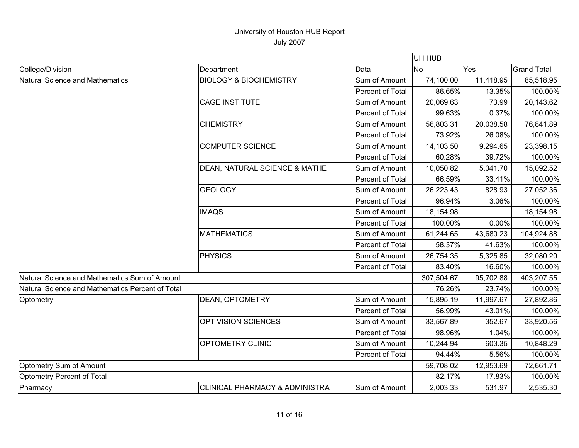|                                                  |                                           |                  | UH HUB     |           |                    |
|--------------------------------------------------|-------------------------------------------|------------------|------------|-----------|--------------------|
| College/Division                                 | Department                                | Data             | <b>No</b>  | Yes       | <b>Grand Total</b> |
| <b>Natural Science and Mathematics</b>           | <b>BIOLOGY &amp; BIOCHEMISTRY</b>         | Sum of Amount    | 74,100.00  | 11,418.95 | 85,518.95          |
|                                                  |                                           | Percent of Total | 86.65%     | 13.35%    | 100.00%            |
|                                                  | <b>CAGE INSTITUTE</b>                     | Sum of Amount    | 20,069.63  | 73.99     | 20,143.62          |
|                                                  |                                           | Percent of Total | 99.63%     | 0.37%     | 100.00%            |
|                                                  | <b>CHEMISTRY</b>                          | Sum of Amount    | 56,803.31  | 20,038.58 | 76,841.89          |
|                                                  |                                           | Percent of Total | 73.92%     | 26.08%    | 100.00%            |
|                                                  | <b>COMPUTER SCIENCE</b>                   | Sum of Amount    | 14,103.50  | 9,294.65  | 23,398.15          |
|                                                  |                                           | Percent of Total | 60.28%     | 39.72%    | 100.00%            |
|                                                  | DEAN, NATURAL SCIENCE & MATHE             | Sum of Amount    | 10,050.82  | 5,041.70  | 15,092.52          |
|                                                  |                                           | Percent of Total | 66.59%     | 33.41%    | 100.00%            |
|                                                  | <b>GEOLOGY</b>                            | Sum of Amount    | 26,223.43  | 828.93    | 27,052.36          |
|                                                  |                                           | Percent of Total | 96.94%     | 3.06%     | 100.00%            |
|                                                  | <b>IMAQS</b>                              | Sum of Amount    | 18,154.98  |           | 18,154.98          |
|                                                  |                                           | Percent of Total | 100.00%    | 0.00%     | 100.00%            |
|                                                  | <b>MATHEMATICS</b>                        | Sum of Amount    | 61,244.65  | 43,680.23 | 104,924.88         |
|                                                  |                                           | Percent of Total | 58.37%     | 41.63%    | 100.00%            |
|                                                  | <b>PHYSICS</b>                            | Sum of Amount    | 26,754.35  | 5,325.85  | 32,080.20          |
|                                                  |                                           | Percent of Total | 83.40%     | 16.60%    | 100.00%            |
| Natural Science and Mathematics Sum of Amount    |                                           |                  | 307,504.67 | 95,702.88 | 403,207.55         |
| Natural Science and Mathematics Percent of Total |                                           |                  | 76.26%     | 23.74%    | 100.00%            |
| Optometry                                        | DEAN, OPTOMETRY                           | Sum of Amount    | 15,895.19  | 11,997.67 | 27,892.86          |
|                                                  |                                           | Percent of Total | 56.99%     | 43.01%    | 100.00%            |
|                                                  | OPT VISION SCIENCES                       | Sum of Amount    | 33,567.89  | 352.67    | 33,920.56          |
|                                                  |                                           | Percent of Total | 98.96%     | 1.04%     | 100.00%            |
|                                                  | OPTOMETRY CLINIC                          | Sum of Amount    | 10,244.94  | 603.35    | 10,848.29          |
|                                                  |                                           | Percent of Total | 94.44%     | 5.56%     | 100.00%            |
| Optometry Sum of Amount                          |                                           |                  | 59,708.02  | 12,953.69 | 72,661.71          |
| Optometry Percent of Total                       |                                           |                  | 82.17%     | 17.83%    | 100.00%            |
| Pharmacy                                         | <b>CLINICAL PHARMACY &amp; ADMINISTRA</b> | Sum of Amount    | 2,003.33   | 531.97    | 2,535.30           |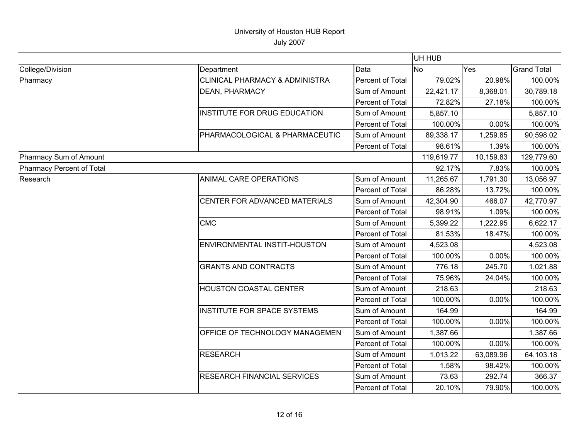|                           |                                    |                  | UH HUB     |           |                    |
|---------------------------|------------------------------------|------------------|------------|-----------|--------------------|
| College/Division          | Department                         | Data             | No.        | Yes       | <b>Grand Total</b> |
| Pharmacy                  | CLINICAL PHARMACY & ADMINISTRA     | Percent of Total | 79.02%     | 20.98%    | 100.00%            |
|                           | DEAN, PHARMACY                     | Sum of Amount    | 22,421.17  | 8,368.01  | 30,789.18          |
|                           |                                    | Percent of Total | 72.82%     | 27.18%    | 100.00%            |
|                           | INSTITUTE FOR DRUG EDUCATION       | Sum of Amount    | 5,857.10   |           | 5,857.10           |
|                           |                                    | Percent of Total | 100.00%    | 0.00%     | 100.00%            |
|                           | PHARMACOLOGICAL & PHARMACEUTIC     | Sum of Amount    | 89,338.17  | 1,259.85  | 90,598.02          |
|                           |                                    | Percent of Total | 98.61%     | 1.39%     | 100.00%            |
| Pharmacy Sum of Amount    |                                    |                  | 119,619.77 | 10,159.83 | 129,779.60         |
| Pharmacy Percent of Total |                                    |                  | 92.17%     | 7.83%     | 100.00%            |
| Research                  | <b>ANIMAL CARE OPERATIONS</b>      | Sum of Amount    | 11,265.67  | 1,791.30  | 13,056.97          |
|                           |                                    | Percent of Total | 86.28%     | 13.72%    | 100.00%            |
|                           | CENTER FOR ADVANCED MATERIALS      | Sum of Amount    | 42,304.90  | 466.07    | 42,770.97          |
|                           |                                    | Percent of Total | 98.91%     | 1.09%     | 100.00%            |
|                           | <b>CMC</b>                         | Sum of Amount    | 5,399.22   | 1,222.95  | 6,622.17           |
|                           |                                    | Percent of Total | 81.53%     | 18.47%    | 100.00%            |
|                           | ENVIRONMENTAL INSTIT-HOUSTON       | Sum of Amount    | 4,523.08   |           | 4,523.08           |
|                           |                                    | Percent of Total | 100.00%    | 0.00%     | 100.00%            |
|                           | <b>GRANTS AND CONTRACTS</b>        | Sum of Amount    | 776.18     | 245.70    | 1,021.88           |
|                           |                                    | Percent of Total | 75.96%     | 24.04%    | 100.00%            |
|                           | HOUSTON COASTAL CENTER             | Sum of Amount    | 218.63     |           | 218.63             |
|                           |                                    | Percent of Total | 100.00%    | 0.00%     | 100.00%            |
|                           | <b>INSTITUTE FOR SPACE SYSTEMS</b> | Sum of Amount    | 164.99     |           | 164.99             |
|                           |                                    | Percent of Total | 100.00%    | 0.00%     | 100.00%            |
|                           | OFFICE OF TECHNOLOGY MANAGEMEN     | Sum of Amount    | 1,387.66   |           | 1,387.66           |
|                           |                                    | Percent of Total | 100.00%    | 0.00%     | 100.00%            |
|                           | <b>RESEARCH</b>                    | Sum of Amount    | 1,013.22   | 63,089.96 | 64,103.18          |
|                           |                                    | Percent of Total | 1.58%      | 98.42%    | 100.00%            |
|                           | <b>RESEARCH FINANCIAL SERVICES</b> | Sum of Amount    | 73.63      | 292.74    | 366.37             |
|                           |                                    | Percent of Total | 20.10%     | 79.90%    | 100.00%            |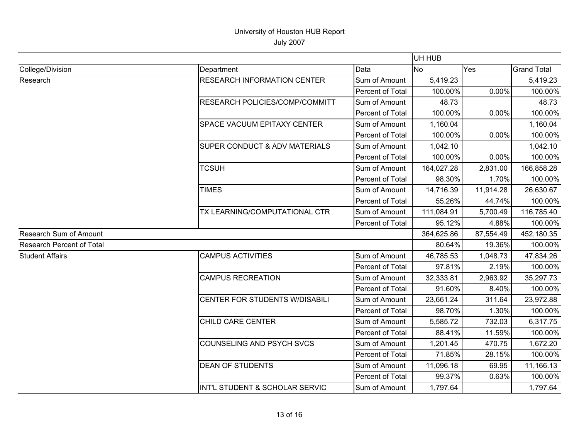|                                  |                                          |                  | UH HUB     |            |                    |
|----------------------------------|------------------------------------------|------------------|------------|------------|--------------------|
| College/Division                 | Department                               | Data             | <b>No</b>  | Yes        | <b>Grand Total</b> |
| Research                         | <b>RESEARCH INFORMATION CENTER</b>       | Sum of Amount    | 5,419.23   |            | 5,419.23           |
|                                  |                                          | Percent of Total | 100.00%    | 0.00%      | 100.00%            |
|                                  | RESEARCH POLICIES/COMP/COMMITT           | Sum of Amount    | 48.73      |            | 48.73              |
|                                  |                                          | Percent of Total | 100.00%    | 0.00%      | 100.00%            |
|                                  | <b>SPACE VACUUM EPITAXY CENTER</b>       | Sum of Amount    | 1,160.04   |            | 1,160.04           |
|                                  |                                          | Percent of Total | 100.00%    | 0.00%      | 100.00%            |
|                                  | <b>SUPER CONDUCT &amp; ADV MATERIALS</b> | Sum of Amount    | 1,042.10   |            | 1,042.10           |
|                                  |                                          | Percent of Total | 100.00%    | 0.00%      | 100.00%            |
|                                  | <b>TCSUH</b>                             | Sum of Amount    | 164,027.28 | 2,831.00   | 166,858.28         |
|                                  |                                          | Percent of Total | 98.30%     | 1.70%      | 100.00%            |
|                                  | <b>TIMES</b>                             | Sum of Amount    | 14,716.39  | 11,914.28  | 26,630.67          |
|                                  |                                          | Percent of Total | 55.26%     | 44.74%     | 100.00%            |
|                                  | TX LEARNING/COMPUTATIONAL CTR            | Sum of Amount    | 111,084.91 | 5,700.49   | 116,785.40         |
|                                  |                                          | Percent of Total | 95.12%     | 4.88%      | 100.00%            |
| <b>Research Sum of Amount</b>    |                                          | 364,625.86       | 87,554.49  | 452,180.35 |                    |
| <b>Research Percent of Total</b> |                                          |                  | 80.64%     | 19.36%     | 100.00%            |
| <b>Student Affairs</b>           | <b>CAMPUS ACTIVITIES</b>                 | Sum of Amount    | 46,785.53  | 1,048.73   | 47,834.26          |
|                                  |                                          | Percent of Total | 97.81%     | 2.19%      | 100.00%            |
|                                  | <b>CAMPUS RECREATION</b>                 | Sum of Amount    | 32,333.81  | 2,963.92   | 35,297.73          |
|                                  |                                          | Percent of Total | 91.60%     | 8.40%      | 100.00%            |
|                                  | CENTER FOR STUDENTS W/DISABILI           | Sum of Amount    | 23,661.24  | 311.64     | 23,972.88          |
|                                  |                                          | Percent of Total | 98.70%     | 1.30%      | 100.00%            |
|                                  | CHILD CARE CENTER                        | Sum of Amount    | 5,585.72   | 732.03     | 6,317.75           |
|                                  |                                          | Percent of Total | 88.41%     | 11.59%     | 100.00%            |
|                                  | COUNSELING AND PSYCH SVCS                | Sum of Amount    | 1,201.45   | 470.75     | 1,672.20           |
|                                  |                                          | Percent of Total | 71.85%     | 28.15%     | 100.00%            |
|                                  | <b>DEAN OF STUDENTS</b>                  | Sum of Amount    | 11,096.18  | 69.95      | 11,166.13          |
|                                  |                                          | Percent of Total | 99.37%     | 0.63%      | 100.00%            |
|                                  | INT'L STUDENT & SCHOLAR SERVIC           | Sum of Amount    | 1,797.64   |            | 1,797.64           |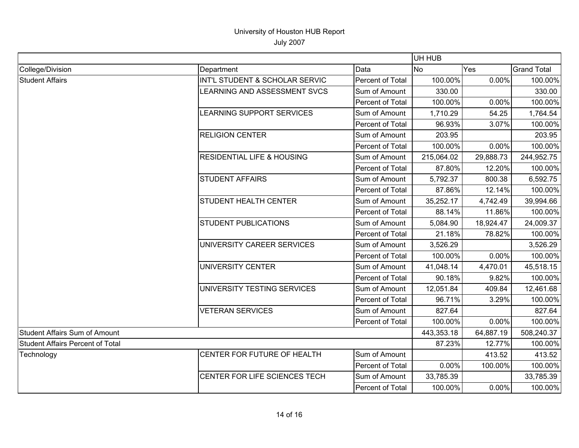|                                         |                                       |                  | UH HUB     |            |                    |
|-----------------------------------------|---------------------------------------|------------------|------------|------------|--------------------|
| College/Division                        | Department                            | Data             | No.        | Yes        | <b>Grand Total</b> |
| <b>Student Affairs</b>                  | INT'L STUDENT & SCHOLAR SERVIC        | Percent of Total | 100.00%    | 0.00%      | 100.00%            |
|                                         | LEARNING AND ASSESSMENT SVCS          | Sum of Amount    | 330.00     |            | 330.00             |
|                                         |                                       | Percent of Total | 100.00%    | 0.00%      | 100.00%            |
|                                         | LEARNING SUPPORT SERVICES             | Sum of Amount    | 1,710.29   | 54.25      | 1,764.54           |
|                                         |                                       | Percent of Total | 96.93%     | 3.07%      | 100.00%            |
|                                         | <b>RELIGION CENTER</b>                | Sum of Amount    | 203.95     |            | 203.95             |
|                                         |                                       | Percent of Total | 100.00%    | 0.00%      | 100.00%            |
|                                         | <b>RESIDENTIAL LIFE &amp; HOUSING</b> | Sum of Amount    | 215,064.02 | 29,888.73  | 244,952.75         |
|                                         |                                       | Percent of Total | 87.80%     | 12.20%     | 100.00%            |
|                                         | <b>STUDENT AFFAIRS</b>                | Sum of Amount    | 5,792.37   | 800.38     | 6,592.75           |
|                                         |                                       | Percent of Total | 87.86%     | 12.14%     | 100.00%            |
|                                         | <b>STUDENT HEALTH CENTER</b>          | Sum of Amount    | 35,252.17  | 4,742.49   | 39,994.66          |
|                                         |                                       | Percent of Total | 88.14%     | 11.86%     | 100.00%            |
|                                         | <b>STUDENT PUBLICATIONS</b>           | Sum of Amount    | 5,084.90   | 18,924.47  | 24,009.37          |
|                                         |                                       | Percent of Total | 21.18%     | 78.82%     | 100.00%            |
|                                         | UNIVERSITY CAREER SERVICES            | Sum of Amount    | 3,526.29   |            | 3,526.29           |
|                                         |                                       | Percent of Total | 100.00%    | 0.00%      | 100.00%            |
|                                         | <b>UNIVERSITY CENTER</b>              | Sum of Amount    | 41,048.14  | 4,470.01   | 45,518.15          |
|                                         |                                       | Percent of Total | 90.18%     | 9.82%      | 100.00%            |
|                                         | UNIVERSITY TESTING SERVICES           | Sum of Amount    | 12,051.84  | 409.84     | 12,461.68          |
|                                         |                                       | Percent of Total | 96.71%     | 3.29%      | 100.00%            |
|                                         | <b>VETERAN SERVICES</b>               | Sum of Amount    | 827.64     |            | 827.64             |
|                                         |                                       | Percent of Total | 100.00%    | 0.00%      | 100.00%            |
| <b>Student Affairs Sum of Amount</b>    |                                       | 443,353.18       | 64,887.19  | 508,240.37 |                    |
| <b>Student Affairs Percent of Total</b> |                                       | 87.23%           | 12.77%     | 100.00%    |                    |
| Technology                              | CENTER FOR FUTURE OF HEALTH           | Sum of Amount    |            | 413.52     | 413.52             |
|                                         |                                       | Percent of Total | 0.00%      | 100.00%    | 100.00%            |
|                                         | CENTER FOR LIFE SCIENCES TECH         | Sum of Amount    | 33,785.39  |            | 33,785.39          |
|                                         |                                       | Percent of Total | 100.00%    | 0.00%      | 100.00%            |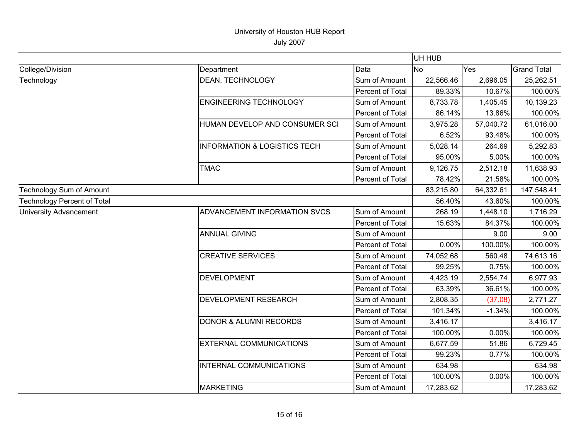|                                    |                                         |                         | UH HUB         |            |                    |
|------------------------------------|-----------------------------------------|-------------------------|----------------|------------|--------------------|
| College/Division                   | Department                              | Data                    | N <sub>o</sub> | Yes        | <b>Grand Total</b> |
| Technology                         | DEAN, TECHNOLOGY                        | Sum of Amount           | 22,566.46      | 2,696.05   | 25,262.51          |
|                                    |                                         | Percent of Total        | 89.33%         | 10.67%     | 100.00%            |
|                                    | ENGINEERING TECHNOLOGY                  | Sum of Amount           | 8,733.78       | 1,405.45   | 10,139.23          |
|                                    |                                         | Percent of Total        | 86.14%         | 13.86%     | 100.00%            |
|                                    | HUMAN DEVELOP AND CONSUMER SCI          | Sum of Amount           | 3,975.28       | 57,040.72  | 61,016.00          |
|                                    |                                         | <b>Percent of Total</b> | 6.52%          | 93.48%     | 100.00%            |
|                                    | <b>INFORMATION &amp; LOGISTICS TECH</b> | Sum of Amount           | 5,028.14       | 264.69     | 5,292.83           |
|                                    |                                         | Percent of Total        | 95.00%         | 5.00%      | 100.00%            |
|                                    | <b>TMAC</b>                             | Sum of Amount           | 9,126.75       | 2,512.18   | 11,638.93          |
|                                    |                                         | Percent of Total        | 78.42%         | 21.58%     | 100.00%            |
| <b>Technology Sum of Amount</b>    |                                         | 83,215.80               | 64,332.61      | 147,548.41 |                    |
| <b>Technology Percent of Total</b> |                                         | 56.40%                  | 43.60%         | 100.00%    |                    |
| <b>University Advancement</b>      | ADVANCEMENT INFORMATION SVCS            | Sum of Amount           | 268.19         | 1,448.10   | 1,716.29           |
|                                    |                                         | Percent of Total        | 15.63%         | 84.37%     | 100.00%            |
|                                    | <b>ANNUAL GIVING</b>                    | Sum of Amount           |                | 9.00       | 9.00               |
|                                    |                                         | Percent of Total        | 0.00%          | 100.00%    | 100.00%            |
|                                    | <b>CREATIVE SERVICES</b>                | Sum of Amount           | 74,052.68      | 560.48     | 74,613.16          |
|                                    |                                         | Percent of Total        | 99.25%         | 0.75%      | 100.00%            |
|                                    | <b>DEVELOPMENT</b>                      | Sum of Amount           | 4,423.19       | 2,554.74   | 6,977.93           |
|                                    |                                         | Percent of Total        | 63.39%         | 36.61%     | 100.00%            |
|                                    | DEVELOPMENT RESEARCH                    | Sum of Amount           | 2,808.35       | (37.08)    | 2,771.27           |
|                                    |                                         | Percent of Total        | 101.34%        | $-1.34%$   | 100.00%            |
|                                    | <b>DONOR &amp; ALUMNI RECORDS</b>       | Sum of Amount           | 3,416.17       |            | 3,416.17           |
|                                    |                                         | Percent of Total        | 100.00%        | 0.00%      | 100.00%            |
|                                    | <b>EXTERNAL COMMUNICATIONS</b>          | Sum of Amount           | 6,677.59       | 51.86      | 6,729.45           |
|                                    |                                         | Percent of Total        | 99.23%         | 0.77%      | 100.00%            |
|                                    | INTERNAL COMMUNICATIONS                 | Sum of Amount           | 634.98         |            | 634.98             |
|                                    |                                         | <b>Percent of Total</b> | 100.00%        | 0.00%      | 100.00%            |
|                                    | <b>MARKETING</b>                        | Sum of Amount           | 17,283.62      |            | 17,283.62          |